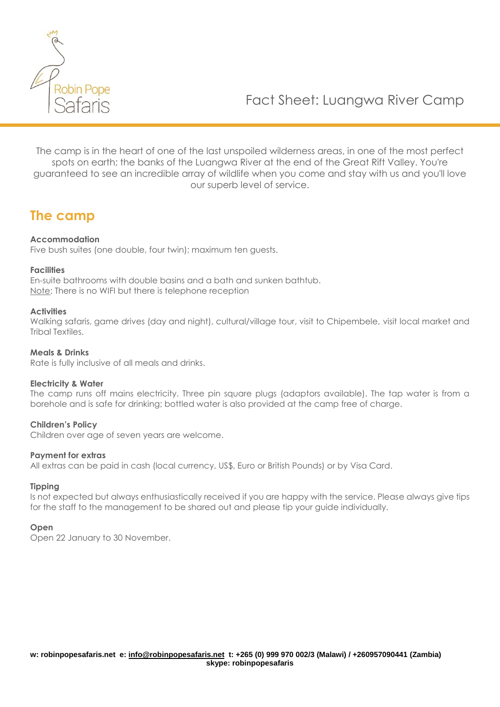

The camp is in the heart of one of the last unspoiled wilderness areas, in one of the most perfect spots on earth; the banks of the Luangwa River at the end of the Great Rift Valley. You're guaranteed to see an incredible array of wildlife when you come and stay with us and you'll love our superb level of service.

### **The camp**

#### **Accommodation**

Five bush suites (one double, four twin); maximum ten guests.

#### **Facilities**

En-suite bathrooms with double basins and a bath and sunken bathtub. Note: There is no WIFI but there is telephone reception

#### **Activities**

Walking safaris, game drives (day and night), cultural/village tour, visit to Chipembele, visit local market and Tribal Textiles.

#### **Meals & Drinks**

Rate is fully inclusive of all meals and drinks.

#### **Electricity & Water**

The camp runs off mains electricity. Three pin square plugs (adaptors available). The tap water is from a borehole and is safe for drinking; bottled water is also provided at the camp free of charge.

#### **Children's Policy**

Children over age of seven years are welcome.

#### **Payment for extras**

All extras can be paid in cash (local currency, US\$, Euro or British Pounds) or by Visa Card.

#### **Tipping**

Is not expected but always enthusiastically received if you are happy with the service. Please always give tips for the staff to the management to be shared out and please tip your guide individually.

#### **Open**

Open 22 January to 30 November.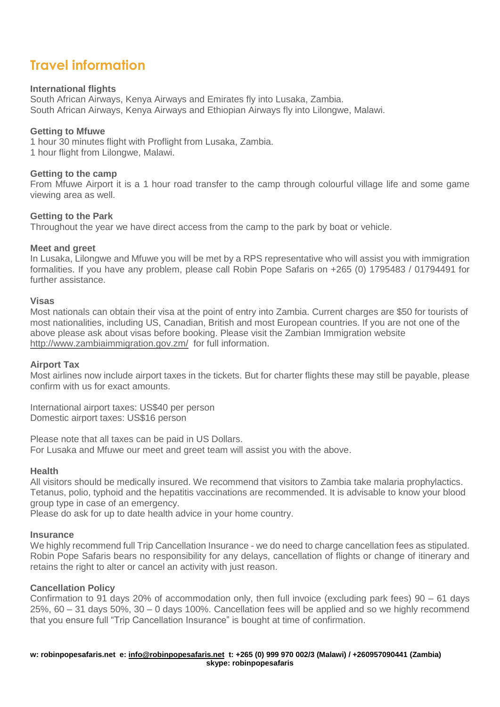## **Travel information**

#### **International flights**

South African Airways, Kenya Airways and Emirates fly into Lusaka, Zambia. South African Airways, Kenya Airways and Ethiopian Airways fly into Lilongwe, Malawi.

#### **Getting to Mfuwe**

1 hour 30 minutes flight with Proflight from Lusaka, Zambia. 1 hour flight from Lilongwe, Malawi.

#### **Getting to the camp**

From Mfuwe Airport it is a 1 hour road transfer to the camp through colourful village life and some game viewing area as well.

#### **Getting to the Park**

Throughout the year we have direct access from the camp to the park by boat or vehicle.

#### **Meet and greet**

In Lusaka, Lilongwe and Mfuwe you will be met by a RPS representative who will assist you with immigration formalities. If you have any problem, please call Robin Pope Safaris on +265 (0) 1795483 / 01794491 for further assistance.

#### **Visas**

Most nationals can obtain their visa at the point of entry into Zambia. Current charges are \$50 for tourists of most nationalities, including US, Canadian, British and most European countries. If you are not one of the above please ask about visas before booking. Please visit the Zambian Immigration website <http://www.zambiaimmigration.gov.zm/>for full information.

#### **Airport Tax**

Most airlines now include airport taxes in the tickets. But for charter flights these may still be payable, please confirm with us for exact amounts.

International airport taxes: US\$40 per person Domestic airport taxes: US\$16 person

Please note that all taxes can be paid in US Dollars. For Lusaka and Mfuwe our meet and greet team will assist you with the above.

#### **Health**

All visitors should be medically insured. We recommend that visitors to Zambia take malaria prophylactics. Tetanus, polio, typhoid and the hepatitis vaccinations are recommended. It is advisable to know your blood group type in case of an emergency.

Please do ask for up to date health advice in your home country.

#### **Insurance**

We highly recommend full Trip Cancellation Insurance - we do need to charge cancellation fees as stipulated. Robin Pope Safaris bears no responsibility for any delays, cancellation of flights or change of itinerary and retains the right to alter or cancel an activity with just reason.

#### **Cancellation Policy**

Confirmation to 91 days 20% of accommodation only, then full invoice (excluding park fees) 90 – 61 days 25%, 60 – 31 days 50%, 30 – 0 days 100%. Cancellation fees will be applied and so we highly recommend that you ensure full "Trip Cancellation Insurance" is bought at time of confirmation.

**w: robinpopesafaris.net e: [info@robinpopesafaris.net](mailto:info@robinpopesafaris.net) t: +265 (0) 999 970 002/3 (Malawi) / +260957090441 (Zambia) skype: robinpopesafaris**